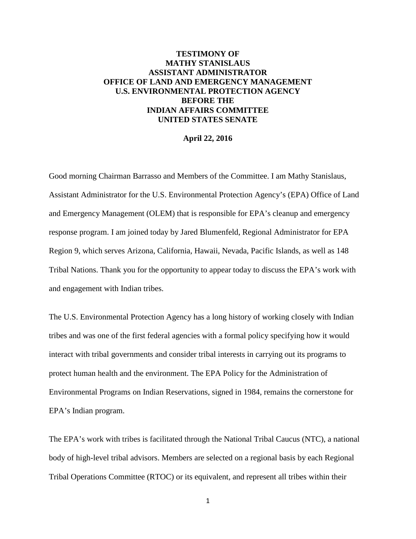# **TESTIMONY OF MATHY STANISLAUS ASSISTANT ADMINISTRATOR OFFICE OF LAND AND EMERGENCY MANAGEMENT U.S. ENVIRONMENTAL PROTECTION AGENCY BEFORE THE INDIAN AFFAIRS COMMITTEE UNITED STATES SENATE**

#### **April 22, 2016**

Good morning Chairman Barrasso and Members of the Committee. I am Mathy Stanislaus, Assistant Administrator for the U.S. Environmental Protection Agency's (EPA) Office of Land and Emergency Management (OLEM) that is responsible for EPA's cleanup and emergency response program. I am joined today by Jared Blumenfeld, Regional Administrator for EPA Region 9, which serves Arizona, California, Hawaii, Nevada, Pacific Islands, as well as 148 Tribal Nations. Thank you for the opportunity to appear today to discuss the EPA's work with and engagement with Indian tribes.

The U.S. Environmental Protection Agency has a long history of working closely with Indian tribes and was one of the first federal agencies with a formal policy specifying how it would interact with tribal governments and consider tribal interests in carrying out its programs to protect human health and the environment. The EPA Policy for the Administration of Environmental Programs on Indian Reservations, signed in 1984, remains the cornerstone for EPA's Indian program.

The EPA's work with tribes is facilitated through the National Tribal Caucus (NTC), a national body of high-level tribal advisors. Members are selected on a regional basis by each Regional Tribal Operations Committee (RTOC) or its equivalent, and represent all tribes within their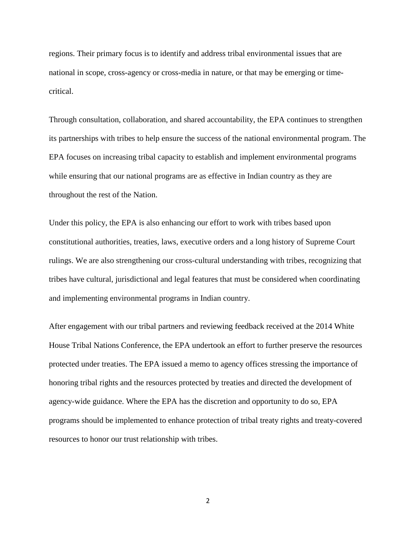regions. Their primary focus is to identify and address tribal environmental issues that are national in scope, cross-agency or cross-media in nature, or that may be emerging or timecritical.

Through consultation, collaboration, and shared accountability, the EPA continues to strengthen its partnerships with tribes to help ensure the success of the national environmental program. The EPA focuses on increasing tribal capacity to establish and implement environmental programs while ensuring that our national programs are as effective in Indian country as they are throughout the rest of the Nation.

Under this policy, the EPA is also enhancing our effort to work with tribes based upon constitutional authorities, treaties, laws, executive orders and a long history of Supreme Court rulings. We are also strengthening our cross-cultural understanding with tribes, recognizing that tribes have cultural, jurisdictional and legal features that must be considered when coordinating and implementing environmental programs in Indian country.

After engagement with our tribal partners and reviewing feedback received at the 2014 White House Tribal Nations Conference, the EPA undertook an effort to further preserve the resources protected under treaties. The EPA issued a memo to agency offices stressing the importance of honoring tribal rights and the resources protected by treaties and directed the development of agency-wide guidance. Where the EPA has the discretion and opportunity to do so, EPA programs should be implemented to enhance protection of tribal treaty rights and treaty-covered resources to honor our trust relationship with tribes.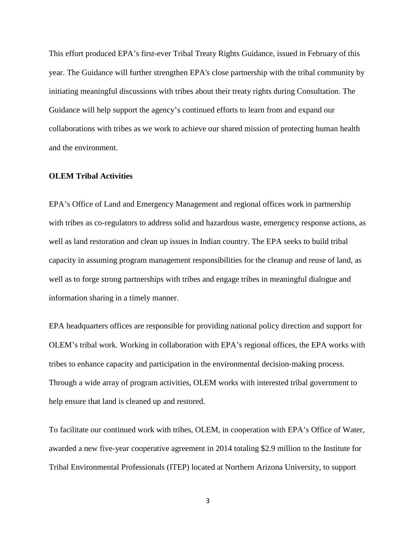This effort produced EPA's first-ever Tribal Treaty Rights Guidance, issued in February of this year. The Guidance will further strengthen EPA's close partnership with the tribal community by initiating meaningful discussions with tribes about their treaty rights during Consultation. The Guidance will help support the agency's continued efforts to learn from and expand our collaborations with tribes as we work to achieve our shared mission of protecting human health and the environment.

## **OLEM Tribal Activities**

EPA's Office of Land and Emergency Management and regional offices work in partnership with tribes as co-regulators to address solid and hazardous waste, emergency response actions, as well as land restoration and clean up issues in Indian country. The EPA seeks to build tribal capacity in assuming program management responsibilities for the cleanup and reuse of land, as well as to forge strong partnerships with tribes and engage tribes in meaningful dialogue and information sharing in a timely manner.

EPA headquarters offices are responsible for providing national policy direction and support for OLEM's tribal work. Working in collaboration with EPA's regional offices, the EPA works with tribes to enhance capacity and participation in the environmental decision‐making process. Through a wide array of program activities, OLEM works with interested tribal government to help ensure that land is cleaned up and restored.

To facilitate our continued work with tribes, OLEM, in cooperation with EPA's Office of Water, awarded a new five-year cooperative agreement in 2014 totaling \$2.9 million to the Institute for Tribal Environmental Professionals (ITEP) located at Northern Arizona University, to support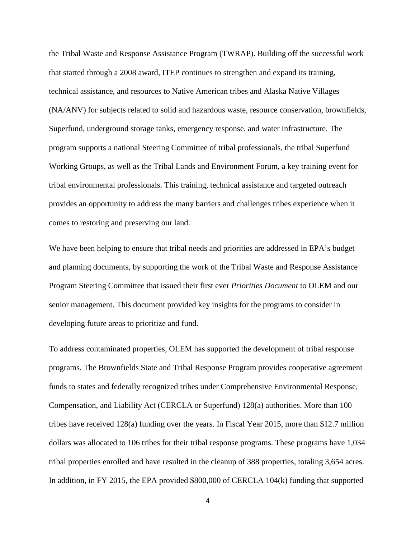the [Tribal Waste and Response Assistance Program](http://www7.nau.edu/itep/main/Waste/waste_ntsc) (TWRAP). Building off the successful work that started through a 2008 award, ITEP continues to strengthen and expand its training, technical assistance, and resources to Native American tribes and Alaska Native Villages (NA/ANV) for subjects related to solid and hazardous waste, resource conservation, brownfields, Superfund, underground storage tanks, emergency response, and water infrastructure. The program supports a national Steering Committee of tribal professionals, the tribal Superfund Working Groups, as well as the Tribal Lands and Environment Forum, a key training event for tribal environmental professionals. This training, technical assistance and targeted outreach provides an opportunity to address the many barriers and challenges tribes experience when it comes to restoring and preserving our land.

We have been helping to ensure that tribal needs and priorities are addressed in EPA's budget and planning documents, by supporting the work of the [Tribal Waste and Response Assistance](http://www7.nau.edu/itep/main/Waste/waste_ntsc)  [Program Steering Committee](http://www7.nau.edu/itep/main/Waste/waste_ntsc) that issued their first ever *Priorities Document* to OLEM and our senior management. This document provided key insights for the programs to consider in developing future areas to prioritize and fund.

To address contaminated properties, OLEM has supported the development of tribal response programs. The Brownfields State and Tribal Response Program provides cooperative agreement funds to states and federally recognized tribes under Comprehensive Environmental Response, Compensation, and Liability Act (CERCLA or Superfund) 128(a) authorities. More than 100 tribes have received 128(a) funding over the years. In Fiscal Year 2015, more than \$12.7 million dollars was allocated to 106 tribes for their tribal response programs. These programs have 1,034 tribal properties enrolled and have resulted in the cleanup of 388 properties, totaling 3,654 acres. In addition, in FY 2015, the EPA provided \$800,000 of CERCLA 104(k) funding that supported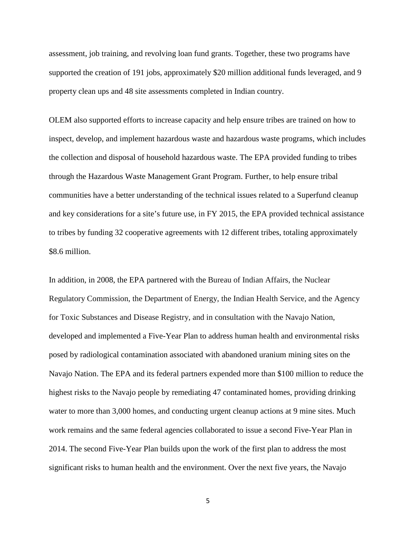assessment, job training, and revolving loan fund grants. Together, these two programs have supported the creation of 191 jobs, approximately \$20 million additional funds leveraged, and 9 property clean ups and 48 site assessments completed in Indian country.

OLEM also supported efforts to increase capacity and help ensure tribes are trained on how to inspect, develop, and implement hazardous waste and hazardous waste programs, which includes the collection and disposal of household hazardous waste. The EPA provided funding to tribes through the Hazardous Waste Management Grant Program. Further, to help ensure tribal communities have a better understanding of the technical issues related to a Superfund cleanup and key considerations for a site's future use, in FY 2015, the EPA provided technical assistance to tribes by funding 32 cooperative agreements with 12 different tribes, totaling approximately \$8.6 million.

In addition, in 2008, the EPA partnered with the Bureau of Indian Affairs, the Nuclear Regulatory Commission, the Department of Energy, the Indian Health Service, and the Agency for Toxic Substances and Disease Registry, and in consultation with the Navajo Nation, developed and implemented a Five-Year Plan to address human health and environmental risks posed by radiological contamination associated with abandoned uranium mining sites on the Navajo Nation. The EPA and its federal partners expended more than \$100 million to reduce the highest risks to the Navajo people by remediating 47 contaminated homes, providing drinking water to more than 3,000 homes, and conducting urgent cleanup actions at 9 mine sites. Much work remains and the same federal agencies collaborated to issue a second Five-Year Plan in 2014. The second Five-Year Plan builds upon the work of the first plan to address the most significant risks to human health and the environment. Over the next five years, the Navajo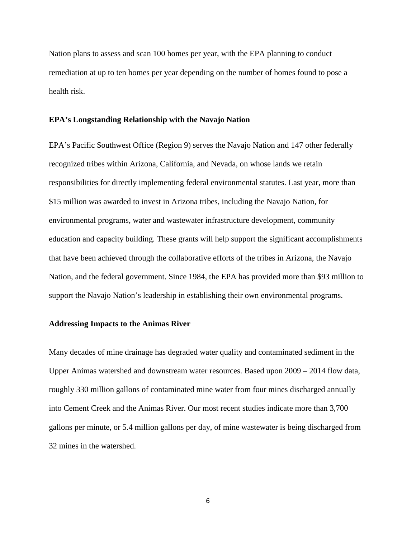Nation plans to assess and scan 100 homes per year, with the EPA planning to conduct remediation at up to ten homes per year depending on the number of homes found to pose a health risk.

### **EPA's Longstanding Relationship with the Navajo Nation**

EPA's Pacific Southwest Office (Region 9) serves the Navajo Nation and 147 other federally recognized tribes within Arizona, California, and Nevada, on whose lands we retain responsibilities for directly implementing federal environmental statutes. Last year, more than \$15 million was awarded to invest in Arizona tribes, including the Navajo Nation, for environmental programs, water and wastewater infrastructure development, community education and capacity building. These grants will help support the significant accomplishments that have been achieved through the collaborative efforts of the tribes in Arizona, the Navajo Nation, and the federal government. Since 1984, the EPA has provided more than \$93 million to support the Navajo Nation's leadership in establishing their own environmental programs.

#### **Addressing Impacts to the Animas River**

Many decades of mine drainage has degraded water quality and contaminated sediment in the Upper Animas watershed and downstream water resources. Based upon 2009 – 2014 flow data, roughly 330 million gallons of contaminated mine water from four mines discharged annually into Cement Creek and the Animas River. Our most recent studies indicate more than 3,700 gallons per minute, or 5.4 million gallons per day, of mine wastewater is being discharged from 32 mines in the watershed.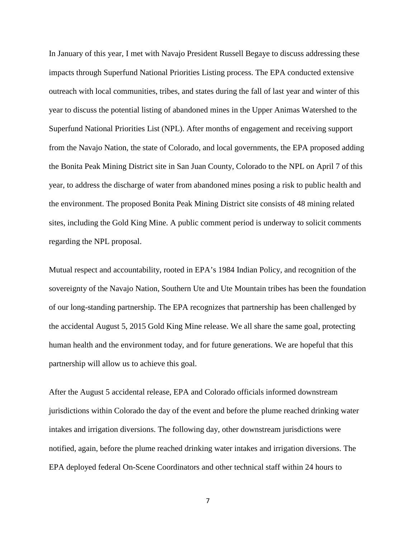In January of this year, I met with Navajo President Russell Begaye to discuss addressing these impacts through Superfund National Priorities Listing process. The EPA conducted extensive outreach with local communities, tribes, and states during the fall of last year and winter of this year to discuss the potential listing of abandoned mines in the Upper Animas Watershed to the Superfund National Priorities List (NPL). After months of engagement and receiving support from the Navajo Nation, the state of Colorado, and local governments, the EPA proposed adding the Bonita Peak Mining District site in San Juan County, Colorado to the NPL on April 7 of this year, to address the discharge of water from abandoned mines posing a risk to public health and the environment. The proposed Bonita Peak Mining District site consists of 48 mining related sites, including the Gold King Mine. A public comment period is underway to solicit comments regarding the NPL proposal.

Mutual respect and accountability, rooted in EPA's 1984 Indian Policy, and recognition of the sovereignty of the Navajo Nation, Southern Ute and Ute Mountain tribes has been the foundation of our long-standing partnership. The EPA recognizes that partnership has been challenged by the accidental August 5, 2015 Gold King Mine release. We all share the same goal, protecting human health and the environment today, and for future generations. We are hopeful that this partnership will allow us to achieve this goal.

After the August 5 accidental release, EPA and Colorado officials informed downstream jurisdictions within Colorado the day of the event and before the plume reached drinking water intakes and irrigation diversions. The following day, other downstream jurisdictions were notified, again, before the plume reached drinking water intakes and irrigation diversions. The EPA deployed federal On-Scene Coordinators and other technical staff within 24 hours to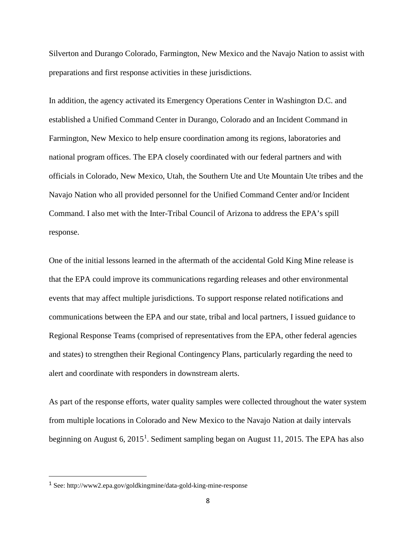Silverton and Durango Colorado, Farmington, New Mexico and the Navajo Nation to assist with preparations and first response activities in these jurisdictions.

In addition, the agency activated its Emergency Operations Center in Washington D.C. and established a Unified Command Center in Durango, Colorado and an Incident Command in Farmington, New Mexico to help ensure coordination among its regions, laboratories and national program offices. The EPA closely coordinated with our federal partners and with officials in Colorado, New Mexico, Utah, the Southern Ute and Ute Mountain Ute tribes and the Navajo Nation who all provided personnel for the Unified Command Center and/or Incident Command. I also met with the Inter-Tribal Council of Arizona to address the EPA's spill response.

One of the initial lessons learned in the aftermath of the accidental Gold King Mine release is that the EPA could improve its communications regarding releases and other environmental events that may affect multiple jurisdictions. To support response related notifications and communications between the EPA and our state, tribal and local partners, I issued guidance to Regional Response Teams (comprised of representatives from the EPA, other federal agencies and states) to strengthen their Regional Contingency Plans, particularly regarding the need to alert and coordinate with responders in downstream alerts.

As part of the response efforts, water quality samples were collected throughout the water system from multiple locations in Colorado and New Mexico to the Navajo Nation at daily intervals beginning on August 6, 20[1](#page-7-0)5<sup>1</sup>. Sediment sampling began on August 11, 2015. The EPA has also

<span id="page-7-0"></span> <sup>1</sup> See: http://www2.epa.gov/goldkingmine/data-gold-king-mine-response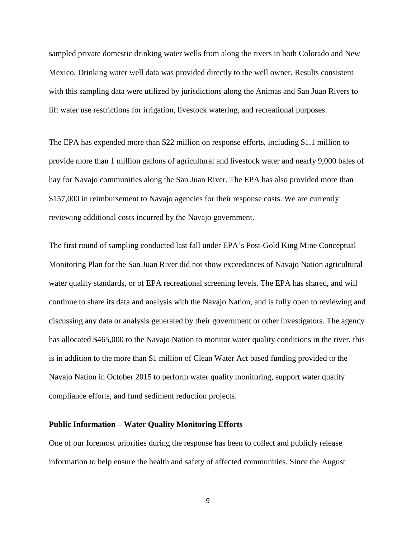sampled private domestic drinking water wells from along the rivers in both Colorado and New Mexico. Drinking water well data was provided directly to the well owner. Results consistent with this sampling data were utilized by jurisdictions along the Animas and San Juan Rivers to lift water use restrictions for irrigation, livestock watering, and recreational purposes.

The EPA has expended more than \$22 million on response efforts, including \$1.1 million to provide more than 1 million gallons of agricultural and livestock water and nearly 9,000 bales of hay for Navajo communities along the San Juan River. The EPA has also provided more than \$157,000 in reimbursement to Navajo agencies for their response costs. We are currently reviewing additional costs incurred by the Navajo government.

The first round of sampling conducted last fall under EPA's Post-Gold King Mine Conceptual Monitoring Plan for the San Juan River did not show exceedances of Navajo Nation agricultural water quality standards, or of EPA recreational screening levels. The EPA has shared, and will continue to share its data and analysis with the Navajo Nation, and is fully open to reviewing and discussing any data or analysis generated by their government or other investigators. The agency has allocated \$465,000 to the Navajo Nation to monitor water quality conditions in the river, this is in addition to the more than \$1 million of Clean Water Act based funding provided to the Navajo Nation in October 2015 to perform water quality monitoring, support water quality compliance efforts, and fund sediment reduction projects.

#### **Public Information – Water Quality Monitoring Efforts**

One of our foremost priorities during the response has been to collect and publicly release information to help ensure the health and safety of affected communities. Since the August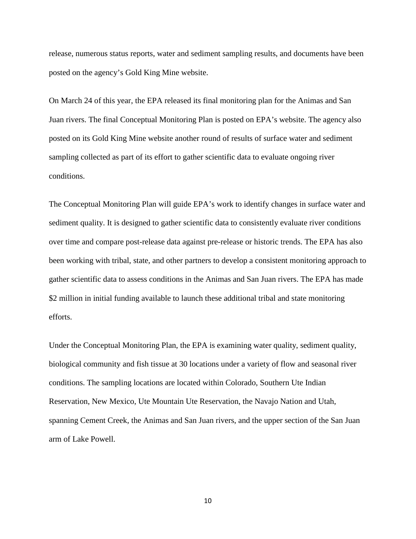release, numerous status reports, water and sediment sampling results, and documents have been posted on the agency's Gold King Mine website.

On March 24 of this year, the EPA released its final monitoring plan for the Animas and San Juan rivers. The final Conceptual Monitoring Plan is posted on EPA's website. The agency also posted on its Gold King Mine website another round of results of surface water and sediment sampling collected as part of its effort to gather scientific data to evaluate ongoing river conditions.

The Conceptual Monitoring Plan will guide EPA's work to identify changes in surface water and sediment quality. It is designed to gather scientific data to consistently evaluate river conditions over time and compare post-release data against pre-release or historic trends. The EPA has also been working with tribal, state, and other partners to develop a consistent monitoring approach to gather scientific data to assess conditions in the Animas and San Juan rivers. The EPA has made \$2 million in initial funding available to launch these additional tribal and state monitoring efforts.

Under the Conceptual Monitoring Plan, the EPA is examining water quality, sediment quality, biological community and fish tissue at 30 locations under a variety of flow and seasonal river conditions. The sampling locations are located within Colorado, Southern Ute Indian Reservation, New Mexico, Ute Mountain Ute Reservation, the Navajo Nation and Utah, spanning Cement Creek, the Animas and San Juan rivers, and the upper section of the San Juan arm of Lake Powell.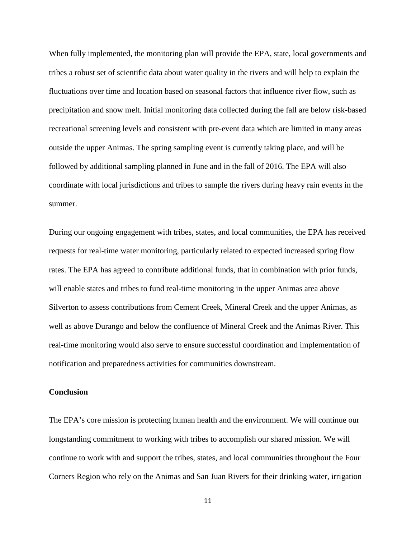When fully implemented, the monitoring plan will provide the EPA, state, local governments and tribes a robust set of scientific data about water quality in the rivers and will help to explain the fluctuations over time and location based on seasonal factors that influence river flow, such as precipitation and snow melt. Initial monitoring data collected during the fall are below risk-based recreational screening levels and consistent with pre-event data which are limited in many areas outside the upper Animas. The spring sampling event is currently taking place, and will be followed by additional sampling planned in June and in the fall of 2016. The EPA will also coordinate with local jurisdictions and tribes to sample the rivers during heavy rain events in the summer.

During our ongoing engagement with tribes, states, and local communities, the EPA has received requests for real-time water monitoring, particularly related to expected increased spring flow rates. The EPA has agreed to contribute additional funds, that in combination with prior funds, will enable states and tribes to fund real-time monitoring in the upper Animas area above Silverton to assess contributions from Cement Creek, Mineral Creek and the upper Animas, as well as above Durango and below the confluence of Mineral Creek and the Animas River. This real-time monitoring would also serve to ensure successful coordination and implementation of notification and preparedness activities for communities downstream.

### **Conclusion**

The EPA's core mission is protecting human health and the environment. We will continue our longstanding commitment to working with tribes to accomplish our shared mission. We will continue to work with and support the tribes, states, and local communities throughout the Four Corners Region who rely on the Animas and San Juan Rivers for their drinking water, irrigation